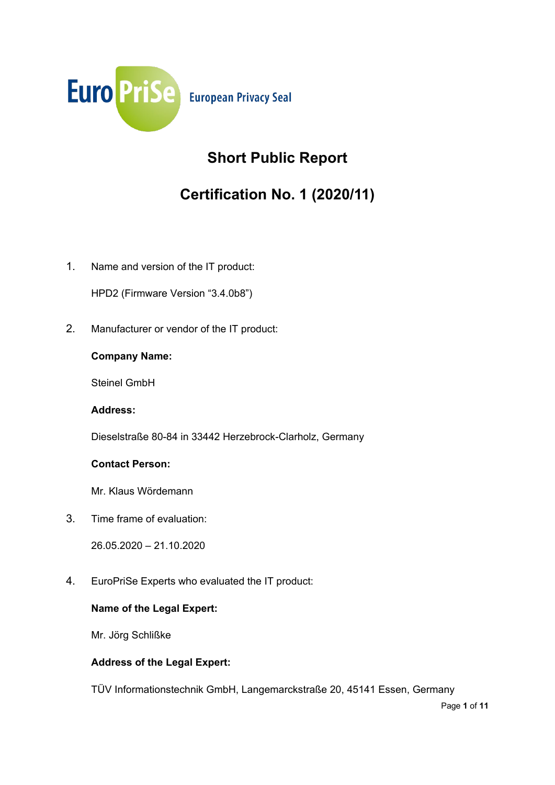

## **Short Public Report**

# **Certification No. 1 (2020/11)**

1. Name and version of the IT product:

HPD2 (Firmware Version "3.4.0b8")

2. Manufacturer or vendor of the IT product:

### **Company Name:**

Steinel GmbH

**Address:**

Dieselstraße 80-84 in 33442 Herzebrock-Clarholz, Germany

## **Contact Person:**

Mr. Klaus Wördemann

3. Time frame of evaluation:

26.05.2020 – 21.10.2020

4. EuroPriSe Experts who evaluated the IT product:

## **Name of the Legal Expert:**

Mr. Jörg Schlißke

## **Address of the Legal Expert:**

TÜV Informationstechnik GmbH, Langemarckstraße 20, 45141 Essen, Germany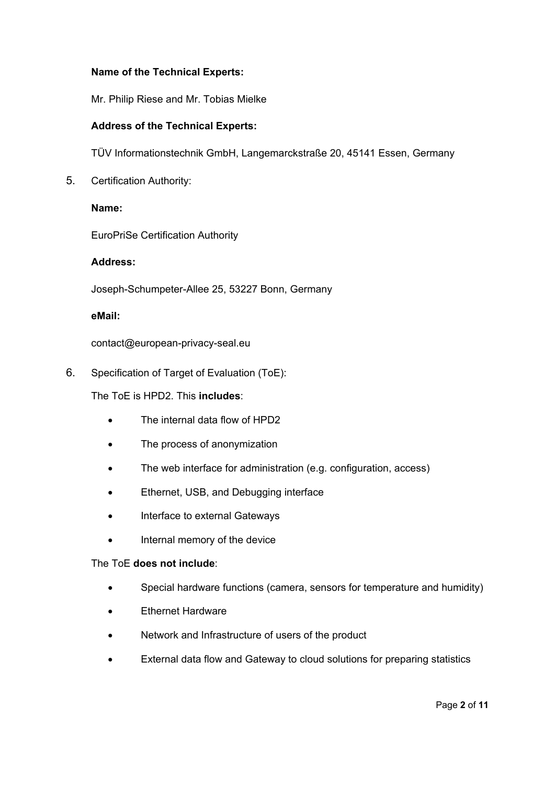#### **Name of the Technical Experts:**

Mr. Philip Riese and Mr. Tobias Mielke

#### **Address of the Technical Experts:**

TÜV Informationstechnik GmbH, Langemarckstraße 20, 45141 Essen, Germany

5. Certification Authority:

#### **Name:**

EuroPriSe Certification Authority

#### **Address:**

Joseph-Schumpeter-Allee 25, 53227 Bonn, Germany

#### **eMail:**

contact@european-privacy-seal.eu

6. Specification of Target of Evaluation (ToE):

The ToE is HPD2. This **includes**:

- The internal data flow of HPD2
- The process of anonymization
- The web interface for administration (e.g. configuration, access)
- Ethernet, USB, and Debugging interface
- Interface to external Gateways
- Internal memory of the device

#### The ToE **does not include**:

- Special hardware functions (camera, sensors for temperature and humidity)
- **Ethernet Hardware**
- Network and Infrastructure of users of the product
- External data flow and Gateway to cloud solutions for preparing statistics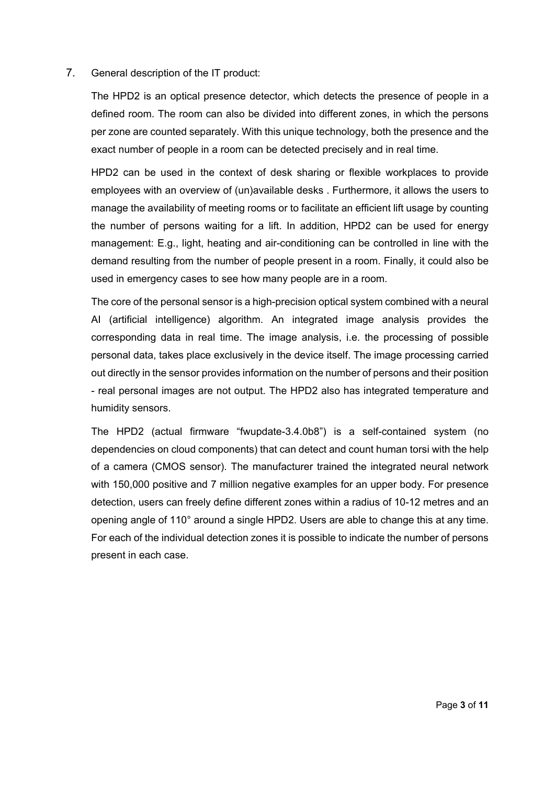#### 7. General description of the IT product:

The HPD2 is an optical presence detector, which detects the presence of people in a defined room. The room can also be divided into different zones, in which the persons per zone are counted separately. With this unique technology, both the presence and the exact number of people in a room can be detected precisely and in real time.

HPD2 can be used in the context of desk sharing or flexible workplaces to provide employees with an overview of (un)available desks . Furthermore, it allows the users to manage the availability of meeting rooms or to facilitate an efficient lift usage by counting the number of persons waiting for a lift. In addition, HPD2 can be used for energy management: E.g., light, heating and air-conditioning can be controlled in line with the demand resulting from the number of people present in a room. Finally, it could also be used in emergency cases to see how many people are in a room.

The core of the personal sensor is a high-precision optical system combined with a neural AI (artificial intelligence) algorithm. An integrated image analysis provides the corresponding data in real time. The image analysis, i.e. the processing of possible personal data, takes place exclusively in the device itself. The image processing carried out directly in the sensor provides information on the number of persons and their position - real personal images are not output. The HPD2 also has integrated temperature and humidity sensors.

The HPD2 (actual firmware "fwupdate-3.4.0b8") is a self-contained system (no dependencies on cloud components) that can detect and count human torsi with the help of a camera (CMOS sensor). The manufacturer trained the integrated neural network with 150,000 positive and 7 million negative examples for an upper body. For presence detection, users can freely define different zones within a radius of 10-12 metres and an opening angle of 110° around a single HPD2. Users are able to change this at any time. For each of the individual detection zones it is possible to indicate the number of persons present in each case.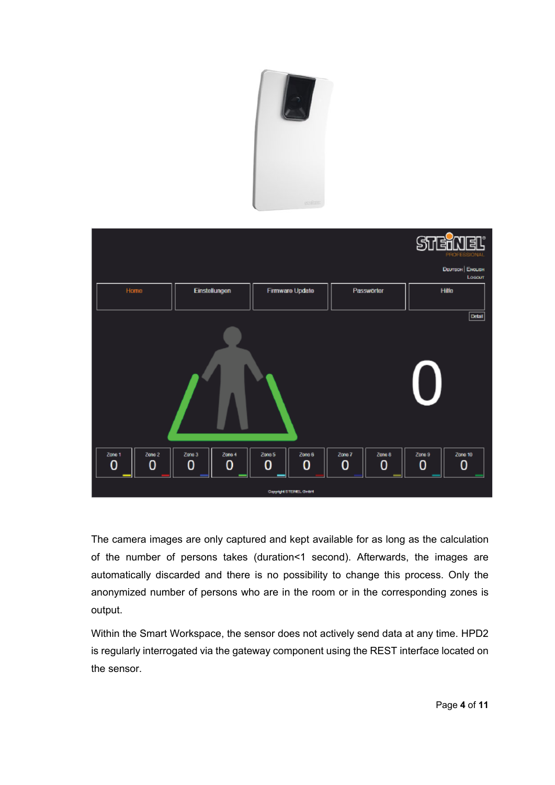



The camera images are only captured and kept available for as long as the calculation of the number of persons takes (duration<1 second). Afterwards, the images are automatically discarded and there is no possibility to change this process. Only the anonymized number of persons who are in the room or in the corresponding zones is output.

Within the Smart Workspace, the sensor does not actively send data at any time. HPD2 is regularly interrogated via the gateway component using the REST interface located on the sensor.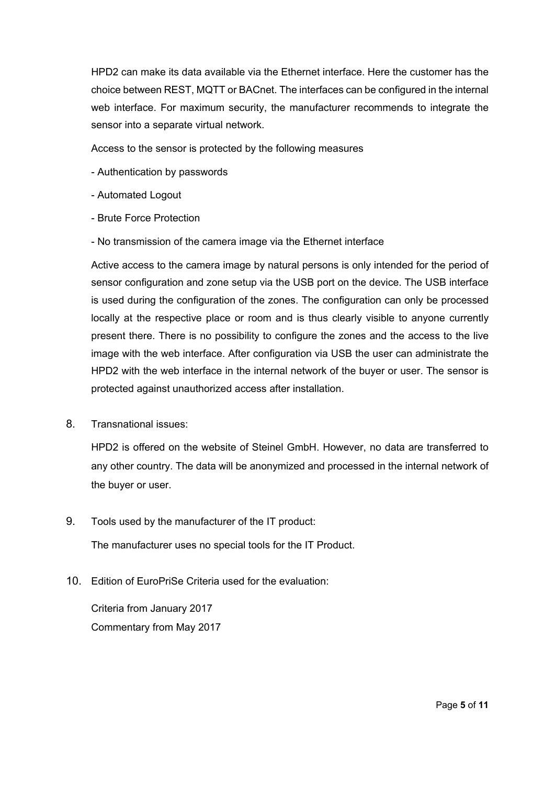HPD2 can make its data available via the Ethernet interface. Here the customer has the choice between REST, MQTT or BACnet. The interfaces can be configured in the internal web interface. For maximum security, the manufacturer recommends to integrate the sensor into a separate virtual network.

Access to the sensor is protected by the following measures

- Authentication by passwords
- Automated Logout
- Brute Force Protection
- No transmission of the camera image via the Ethernet interface

Active access to the camera image by natural persons is only intended for the period of sensor configuration and zone setup via the USB port on the device. The USB interface is used during the configuration of the zones. The configuration can only be processed locally at the respective place or room and is thus clearly visible to anyone currently present there. There is no possibility to configure the zones and the access to the live image with the web interface. After configuration via USB the user can administrate the HPD2 with the web interface in the internal network of the buyer or user. The sensor is protected against unauthorized access after installation.

8. Transnational issues:

HPD2 is offered on the website of Steinel GmbH. However, no data are transferred to any other country. The data will be anonymized and processed in the internal network of the buyer or user.

9. Tools used by the manufacturer of the IT product:

The manufacturer uses no special tools for the IT Product.

10. Edition of EuroPriSe Criteria used for the evaluation:

Criteria from January 2017 Commentary from May 2017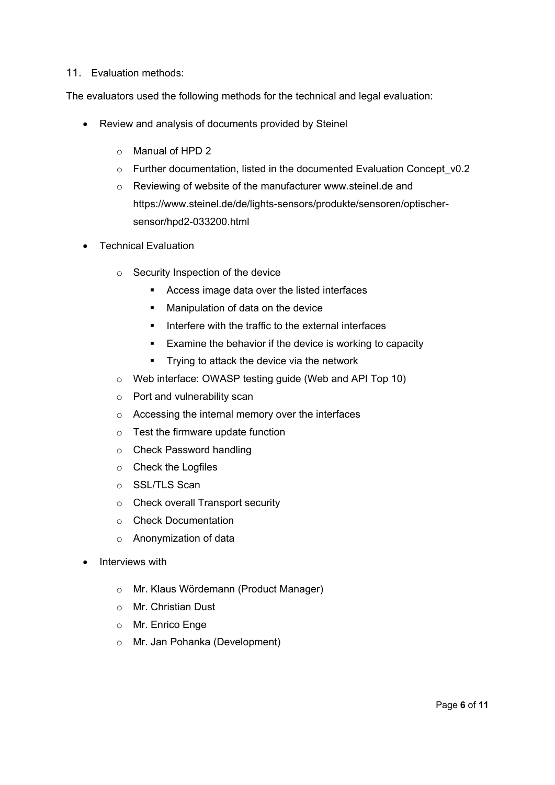#### 11. Evaluation methods:

The evaluators used the following methods for the technical and legal evaluation:

- Review and analysis of documents provided by Steinel
	- o Manual of HPD 2
	- o Further documentation, listed in the documented Evaluation Concept\_v0.2
	- o Reviewing of website of the manufacturer [www.steinel.de](http://www.steinel.de/) and [https://www.steinel.de/de/lights-sensors/produkte/sensoren/optischer](https://www.steinel.de/de/lights-sensors/produkte/sensoren/optischer-sensor/hpd2-033200.html)[sensor/hpd2-033200.html](https://www.steinel.de/de/lights-sensors/produkte/sensoren/optischer-sensor/hpd2-033200.html)
- Technical Evaluation
	- o Security Inspection of the device
		- Access image data over the listed interfaces
		- **Manipulation of data on the device**
		- Interfere with the traffic to the external interfaces
		- **Examine the behavior if the device is working to capacity**
		- **Trying to attack the device via the network**
	- o Web interface: OWASP testing guide (Web and API Top 10)
	- o Port and vulnerability scan
	- o Accessing the internal memory over the interfaces
	- $\circ$  Test the firmware update function
	- o Check Password handling
	- o Check the Logfiles
	- o SSL/TLS Scan
	- o Check overall Transport security
	- o Check Documentation
	- o Anonymization of data
- Interviews with
	- o Mr. Klaus Wördemann (Product Manager)
	- o Mr. Christian Dust
	- o Mr. Enrico Enge
	- o Mr. Jan Pohanka (Development)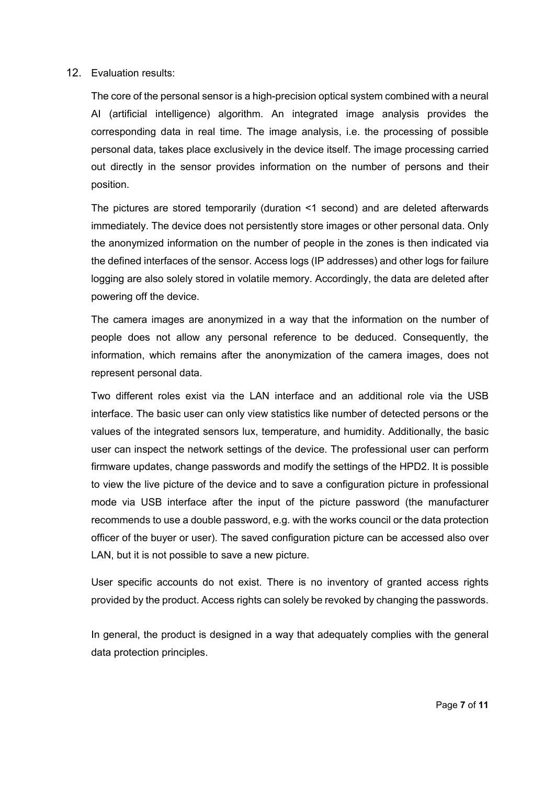#### 12. Evaluation results:

The core of the personal sensor is a high-precision optical system combined with a neural AI (artificial intelligence) algorithm. An integrated image analysis provides the corresponding data in real time. The image analysis, i.e. the processing of possible personal data, takes place exclusively in the device itself. The image processing carried out directly in the sensor provides information on the number of persons and their position.

The pictures are stored temporarily (duration <1 second) and are deleted afterwards immediately. The device does not persistently store images or other personal data. Only the anonymized information on the number of people in the zones is then indicated via the defined interfaces of the sensor. Access logs (IP addresses) and other logs for failure logging are also solely stored in volatile memory. Accordingly, the data are deleted after powering off the device.

The camera images are anonymized in a way that the information on the number of people does not allow any personal reference to be deduced. Consequently, the information, which remains after the anonymization of the camera images, does not represent personal data.

Two different roles exist via the LAN interface and an additional role via the USB interface. The basic user can only view statistics like number of detected persons or the values of the integrated sensors lux, temperature, and humidity. Additionally, the basic user can inspect the network settings of the device. The professional user can perform firmware updates, change passwords and modify the settings of the HPD2. It is possible to view the live picture of the device and to save a configuration picture in professional mode via USB interface after the input of the picture password (the manufacturer recommends to use a double password, e.g. with the works council or the data protection officer of the buyer or user). The saved configuration picture can be accessed also over LAN, but it is not possible to save a new picture.

User specific accounts do not exist. There is no inventory of granted access rights provided by the product. Access rights can solely be revoked by changing the passwords.

In general, the product is designed in a way that adequately complies with the general data protection principles.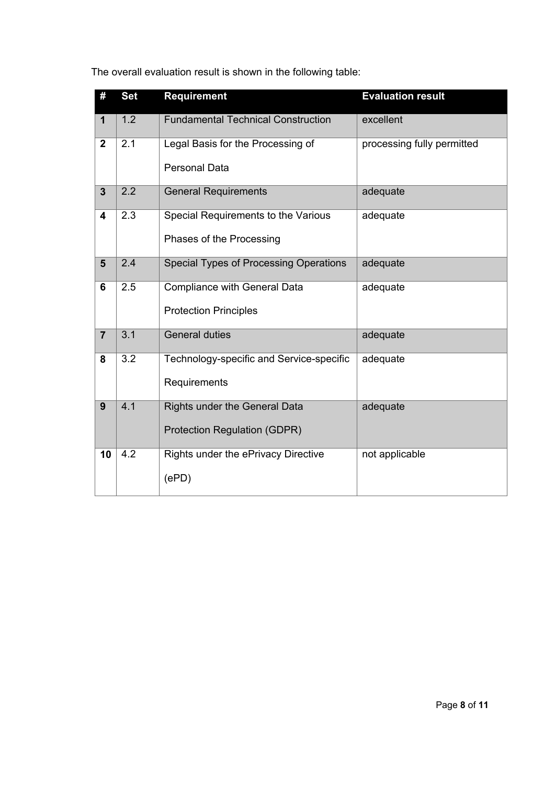The overall evaluation result is shown in the following table:

| #              | <b>Set</b>       | <b>Requirement</b>                        | <b>Evaluation result</b>   |
|----------------|------------------|-------------------------------------------|----------------------------|
| $\mathbf{1}$   | 1.2              | <b>Fundamental Technical Construction</b> | excellent                  |
| $\overline{2}$ | 2.1              | Legal Basis for the Processing of         | processing fully permitted |
|                |                  | <b>Personal Data</b>                      |                            |
| $\overline{3}$ | 2.2              | <b>General Requirements</b>               | adequate                   |
| 4              | 2.3              | Special Requirements to the Various       | adequate                   |
|                |                  | Phases of the Processing                  |                            |
| $5\phantom{1}$ | 2.4              | Special Types of Processing Operations    | adequate                   |
| 6              | 2.5              | <b>Compliance with General Data</b>       | adequate                   |
|                |                  | <b>Protection Principles</b>              |                            |
| $\overline{7}$ | 3.1              | <b>General duties</b>                     | adequate                   |
| 8              | 3.2              | Technology-specific and Service-specific  | adequate                   |
|                |                  | Requirements                              |                            |
| 9              | $\overline{4.1}$ | Rights under the General Data             | adequate                   |
|                |                  | <b>Protection Regulation (GDPR)</b>       |                            |
| 10             | 4.2              | Rights under the ePrivacy Directive       | not applicable             |
|                |                  | (ePD)                                     |                            |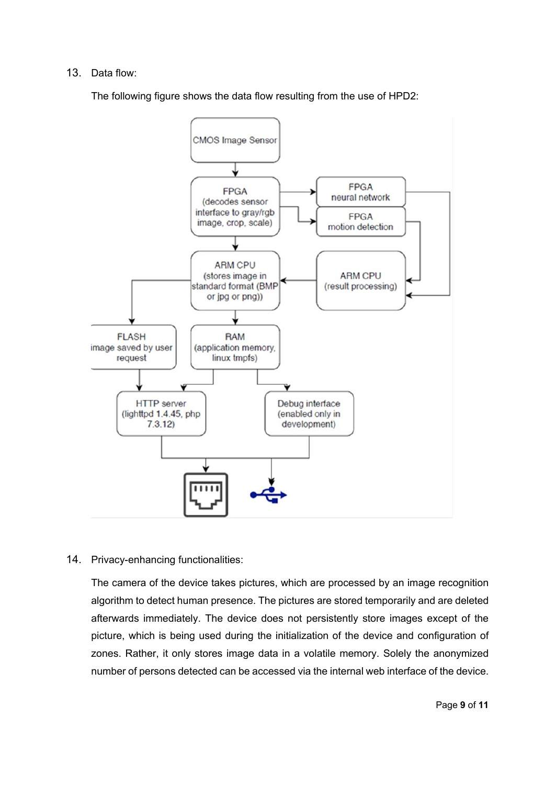#### 13. Data flow:

The following figure shows the data flow resulting from the use of HPD2:



#### 14. Privacy-enhancing functionalities:

The camera of the device takes pictures, which are processed by an image recognition algorithm to detect human presence. The pictures are stored temporarily and are deleted afterwards immediately. The device does not persistently store images except of the picture, which is being used during the initialization of the device and configuration of zones. Rather, it only stores image data in a volatile memory. Solely the anonymized number of persons detected can be accessed via the internal web interface of the device.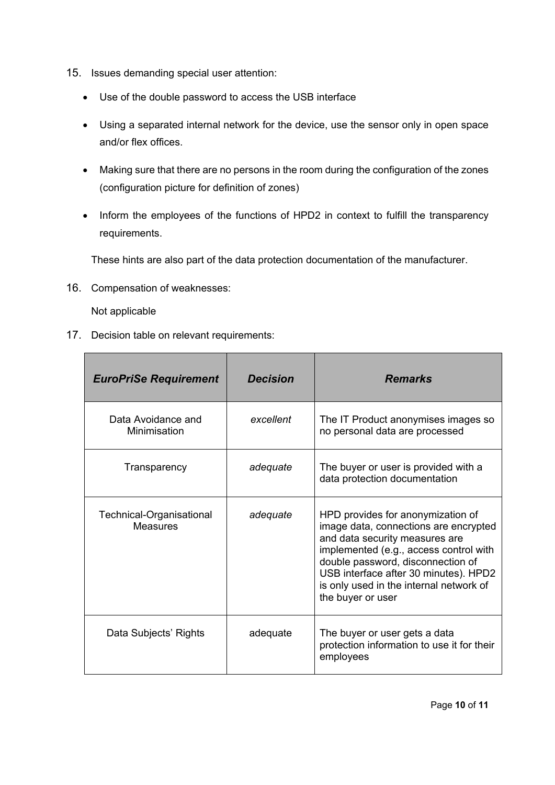- 15. Issues demanding special user attention:
	- Use of the double password to access the USB interface
	- Using a separated internal network for the device, use the sensor only in open space and/or flex offices.
	- Making sure that there are no persons in the room during the configuration of the zones (configuration picture for definition of zones)
	- Inform the employees of the functions of HPD2 in context to fulfill the transparency requirements.

These hints are also part of the data protection documentation of the manufacturer.

16. Compensation of weaknesses:

Not applicable

17. Decision table on relevant requirements:

| <b>EuroPriSe Requirement</b>                | <b>Decision</b> | <b>Remarks</b>                                                                                                                                                                                                                                                                                       |
|---------------------------------------------|-----------------|------------------------------------------------------------------------------------------------------------------------------------------------------------------------------------------------------------------------------------------------------------------------------------------------------|
| Data Avoidance and<br>Minimisation          | excellent       | The IT Product anonymises images so<br>no personal data are processed                                                                                                                                                                                                                                |
| Transparency                                | adequate        | The buyer or user is provided with a<br>data protection documentation                                                                                                                                                                                                                                |
| Technical-Organisational<br><b>Measures</b> | adequate        | HPD provides for anonymization of<br>image data, connections are encrypted<br>and data security measures are<br>implemented (e.g., access control with<br>double password, disconnection of<br>USB interface after 30 minutes). HPD2<br>is only used in the internal network of<br>the buyer or user |
| Data Subjects' Rights                       | adequate        | The buyer or user gets a data<br>protection information to use it for their<br>employees                                                                                                                                                                                                             |